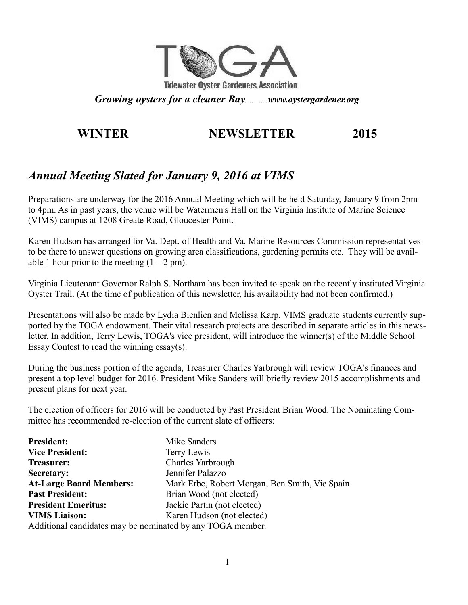

*Growing oysters for a cleaner Bay..........www.oystergardener.org*

# **WINTER NEWSLETTER 2015**

# *Annual Meeting Slated for January 9, 2016 at VIMS*

Preparations are underway for the 2016 Annual Meeting which will be held Saturday, January 9 from 2pm to 4pm. As in past years, the venue will be Watermen's Hall on the Virginia Institute of Marine Science (VIMS) campus at 1208 Greate Road, Gloucester Point.

Karen Hudson has arranged for Va. Dept. of Health and Va. Marine Resources Commission representatives to be there to answer questions on growing area classifications, gardening permits etc. They will be available 1 hour prior to the meeting  $(1 – 2 pm)$ .

Virginia Lieutenant Governor Ralph S. Northam has been invited to speak on the recently instituted Virginia Oyster Trail. (At the time of publication of this newsletter, his availability had not been confirmed.)

Presentations will also be made by Lydia Bienlien and Melissa Karp, VIMS graduate students currently supported by the TOGA endowment. Their vital research projects are described in separate articles in this newsletter. In addition, Terry Lewis, TOGA's vice president, will introduce the winner(s) of the Middle School Essay Contest to read the winning essay(s).

During the business portion of the agenda, Treasurer Charles Yarbrough will review TOGA's finances and present a top level budget for 2016. President Mike Sanders will briefly review 2015 accomplishments and present plans for next year.

The election of officers for 2016 will be conducted by Past President Brian Wood. The Nominating Committee has recommended re-election of the current slate of officers:

| <b>President:</b>                                          | Mike Sanders                                   |
|------------------------------------------------------------|------------------------------------------------|
| <b>Vice President:</b>                                     | Terry Lewis                                    |
| <b>Treasurer:</b>                                          | Charles Yarbrough                              |
| <b>Secretary:</b>                                          | Jennifer Palazzo                               |
| <b>At-Large Board Members:</b>                             | Mark Erbe, Robert Morgan, Ben Smith, Vic Spain |
| <b>Past President:</b>                                     | Brian Wood (not elected)                       |
| <b>President Emeritus:</b>                                 | Jackie Partin (not elected)                    |
| <b>VIMS Liaison:</b>                                       | Karen Hudson (not elected)                     |
| Additional candidates may be nominated by any TOGA member. |                                                |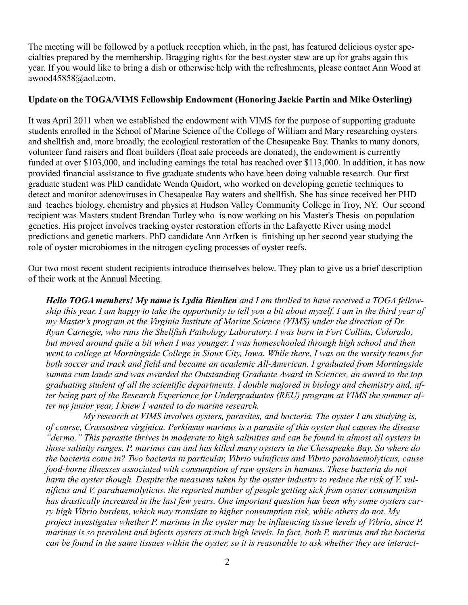The meeting will be followed by a potluck reception which, in the past, has featured delicious oyster specialties prepared by the membership. Bragging rights for the best oyster stew are up for grabs again this year. If you would like to bring a dish or otherwise help with the refreshments, please contact Ann Wood at awood45858@aol.com.

#### **Update on the TOGA/VIMS Fellowship Endowment (Honoring Jackie Partin and Mike Osterling)**

It was April 2011 when we established the endowment with VIMS for the purpose of supporting graduate students enrolled in the School of Marine Science of the College of William and Mary researching oysters and shellfish and, more broadly, the ecological restoration of the Chesapeake Bay. Thanks to many donors, volunteer fund raisers and float builders (float sale proceeds are donated), the endowment is currently funded at over \$103,000, and including earnings the total has reached over \$113,000. In addition, it has now provided financial assistance to five graduate students who have been doing valuable research. Our first graduate student was PhD candidate Wenda Quidort, who worked on developing genetic techniques to detect and monitor adenoviruses in Chesapeake Bay waters and shellfish. She has since received her PHD and teaches biology, chemistry and physics at Hudson Valley Community College in Troy, NY. Our second recipient was Masters student Brendan Turley who is now working on his Master's Thesis on population genetics. His project involves tracking oyster restoration efforts in the Lafayette River using model predictions and genetic markers. PhD candidate Ann Arfken is finishing up her second year studying the role of oyster microbiomes in the nitrogen cycling processes of oyster reefs.

Our two most recent student recipients introduce themselves below. They plan to give us a brief description of their work at the Annual Meeting.

*Hello TOGA members! My name is Lydia Bienlien and I am thrilled to have received a TOGA fellowship this year. I am happy to take the opportunity to tell you a bit about myself. I am in the third year of my Master's program at the Virginia Institute of Marine Science (VIMS) under the direction of Dr. Ryan Carnegie, who runs the Shellfish Pathology Laboratory. I was born in Fort Collins, Colorado, but moved around quite a bit when I was younger. I was homeschooled through high school and then went to college at Morningside College in Sioux City, Iowa. While there, I was on the varsity teams for both soccer and track and field and became an academic All-American. I graduated from Morningside summa cum laude and was awarded the Outstanding Graduate Award in Sciences, an award to the top graduating student of all the scientific departments. I double majored in biology and chemistry and, after being part of the Research Experience for Undergraduates (REU) program at VIMS the summer after my junior year, I knew I wanted to do marine research.* 

*My research at VIMS involves oysters, parasites, and bacteria. The oyster I am studying is, of course, Crassostrea virginica. Perkinsus marinus is a parasite of this oyster that causes the disease "dermo." This parasite thrives in moderate to high salinities and can be found in almost all oysters in those salinity ranges. P. marinus can and has killed many oysters in the Chesapeake Bay. So where do the bacteria come in? Two bacteria in particular, Vibrio vulnificus and Vibrio parahaemolyticus, cause food-borne illnesses associated with consumption of raw oysters in humans. These bacteria do not harm the oyster though. Despite the measures taken by the oyster industry to reduce the risk of V. vulnificus and V. parahaemolyticus, the reported number of people getting sick from oyster consumption has drastically increased in the last few years. One important question has been why some oysters carry high Vibrio burdens, which may translate to higher consumption risk, while others do not. My project investigates whether P. marinus in the oyster may be influencing tissue levels of Vibrio, since P. marinus is so prevalent and infects oysters at such high levels. In fact, both P. marinus and the bacteria can be found in the same tissues within the oyster, so it is reasonable to ask whether they are interact-*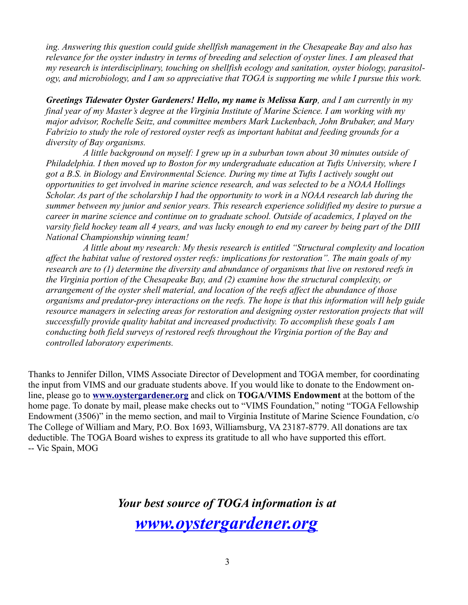*ing. Answering this question could guide shellfish management in the Chesapeake Bay and also has relevance for the oyster industry in terms of breeding and selection of oyster lines. I am pleased that my research is interdisciplinary, touching on shellfish ecology and sanitation, oyster biology, parasitology, and microbiology, and I am so appreciative that TOGA is supporting me while I pursue this work.*

*Greetings Tidewater Oyster Gardeners! Hello, my name is Melissa Karp, and I am currently in my final year of my Master's degree at the Virginia Institute of Marine Science. I am working with my major advisor, Rochelle Seitz, and committee members Mark Luckenbach, John Brubaker, and Mary Fabrizio to study the role of restored oyster reefs as important habitat and feeding grounds for a diversity of Bay organisms.* 

*A little background on myself: I grew up in a suburban town about 30 minutes outside of Philadelphia. I then moved up to Boston for my undergraduate education at Tufts University, where I got a B.S. in Biology and Environmental Science. During my time at Tufts I actively sought out opportunities to get involved in marine science research, and was selected to be a NOAA Hollings Scholar. As part of the scholarship I had the opportunity to work in a NOAA research lab during the summer between my junior and senior years. This research experience solidified my desire to pursue a career in marine science and continue on to graduate school. Outside of academics, I played on the varsity field hockey team all 4 years, and was lucky enough to end my career by being part of the DIII National Championship winning team!* 

*A little about my research: My thesis research is entitled "Structural complexity and location affect the habitat value of restored oyster reefs: implications for restoration". The main goals of my research are to (1) determine the diversity and abundance of organisms that live on restored reefs in the Virginia portion of the Chesapeake Bay, and (2) examine how the structural complexity, or arrangement of the oyster shell material, and location of the reefs affect the abundance of those organisms and predator-prey interactions on the reefs. The hope is that this information will help guide resource managers in selecting areas for restoration and designing oyster restoration projects that will successfully provide quality habitat and increased productivity. To accomplish these goals I am conducting both field surveys of restored reefs throughout the Virginia portion of the Bay and controlled laboratory experiments.* 

Thanks to Jennifer Dillon, VIMS Associate Director of Development and TOGA member, for coordinating the input from VIMS and our graduate students above. If you would like to donate to the Endowment online, please go to **[www.oystergardener.org](http://www.oystergardener.org/)** and click on **TOGA/VIMS Endowment** at the bottom of the home page. To donate by mail, please make checks out to "VIMS Foundation," noting "TOGA Fellowship Endowment (3506)" in the memo section, and mail to Virginia Institute of Marine Science Foundation, c/o The College of William and Mary, P.O. Box 1693, Williamsburg, VA 23187-8779. All donations are tax deductible. The TOGA Board wishes to express its gratitude to all who have supported this effort. -- Vic Spain, MOG

> *Your best source of TOGA information is at [www.oystergardener.org](http://www.oystergardener.org/)*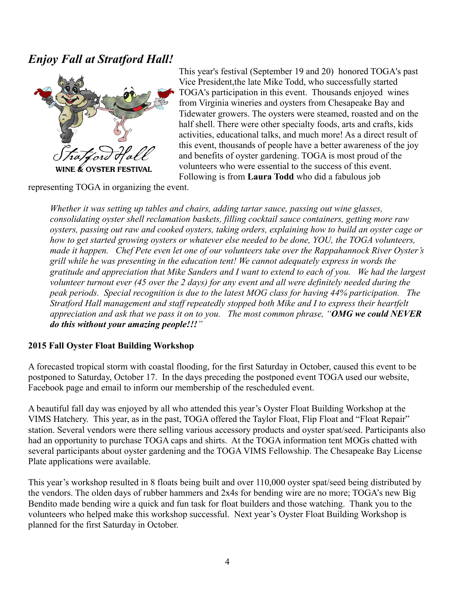# *Enjoy Fall at Stratford Hall!*



E & OYSTER FESTIVAL

This year's festival (September 19 and 20) honored TOGA's past Vice President,the late Mike Todd, who successfully started TOGA's participation in this event. Thousands enjoyed wines from Virginia wineries and oysters from Chesapeake Bay and Tidewater growers. The oysters were steamed, roasted and on the half shell. There were other specialty foods, arts and crafts, kids activities, educational talks, and much more! As a direct result of this event, thousands of people have a better awareness of the joy and benefits of oyster gardening. TOGA is most proud of the volunteers who were essential to the success of this event. Following is from **Laura Todd** who did a fabulous job

representing TOGA in organizing the event.

*Whether it was setting up tables and chairs, adding tartar sauce, passing out wine glasses, consolidating oyster shell reclamation baskets, filling cocktail sauce containers, getting more raw oysters, passing out raw and cooked oysters, taking orders, explaining how to build an oyster cage or how to get started growing oysters or whatever else needed to be done, YOU, the TOGA volunteers, made it happen. Chef Pete even let one of our volunteers take over the Rappahannock River Oyster's grill while he was presenting in the education tent! We cannot adequately express in words the gratitude and appreciation that Mike Sanders and I want to extend to each of you. We had the largest volunteer turnout ever (45 over the 2 days) for any event and all were definitely needed during the peak periods. Special recognition is due to the latest MOG class for having 44% participation. The Stratford Hall management and staff repeatedly stopped both Mike and I to express their heartfelt appreciation and ask that we pass it on to you. The most common phrase, "OMG we could NEVER do this without your amazing people!!!"* 

#### **2015 Fall Oyster Float Building Workshop**

A forecasted tropical storm with coastal flooding, for the first Saturday in October, caused this event to be postponed to Saturday, October 17. In the days preceding the postponed event TOGA used our website, Facebook page and email to inform our membership of the rescheduled event.

A beautiful fall day was enjoyed by all who attended this year's Oyster Float Building Workshop at the VIMS Hatchery. This year, as in the past, TOGA offered the Taylor Float, Flip Float and "Float Repair" station. Several vendors were there selling various accessory products and oyster spat/seed. Participants also had an opportunity to purchase TOGA caps and shirts. At the TOGA information tent MOGs chatted with several participants about oyster gardening and the TOGA VIMS Fellowship. The Chesapeake Bay License Plate applications were available.

This year's workshop resulted in 8 floats being built and over 110,000 oyster spat/seed being distributed by the vendors. The olden days of rubber hammers and 2x4s for bending wire are no more; TOGA's new Big Bendito made bending wire a quick and fun task for float builders and those watching. Thank you to the volunteers who helped make this workshop successful. Next year's Oyster Float Building Workshop is planned for the first Saturday in October.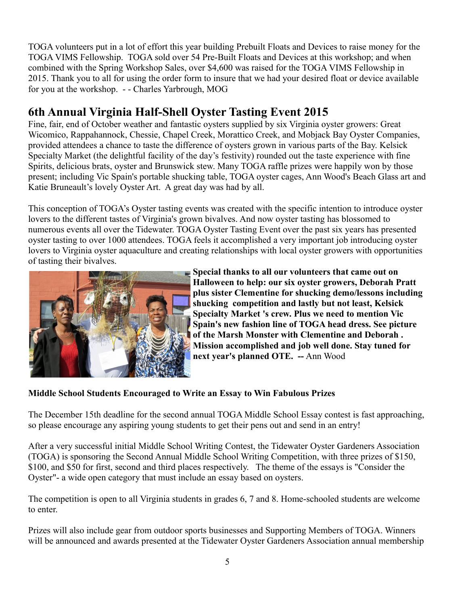TOGA volunteers put in a lot of effort this year building Prebuilt Floats and Devices to raise money for the TOGA VIMS Fellowship. TOGA sold over 54 Pre-Built Floats and Devices at this workshop; and when combined with the Spring Workshop Sales, over \$4,600 was raised for the TOGA VIMS Fellowship in 2015. Thank you to all for using the order form to insure that we had your desired float or device available for you at the workshop. - - Charles Yarbrough, MOG

# **6th Annual Virginia Half-Shell Oyster Tasting Event 2015**

Fine, fair, end of October weather and fantastic oysters supplied by six Virginia oyster growers: Great Wicomico, Rappahannock, Chessie, Chapel Creek, Morattico Creek, and Mobjack Bay Oyster Companies, provided attendees a chance to taste the difference of oysters grown in various parts of the Bay. Kelsick Specialty Market (the delightful facility of the day's festivity) rounded out the taste experience with fine Spirits, delicious brats, oyster and Brunswick stew. Many TOGA raffle prizes were happily won by those present; including Vic Spain's portable shucking table, TOGA oyster cages, Ann Wood's Beach Glass art and Katie Bruneault's lovely Oyster Art. A great day was had by all.

This conception of TOGA's Oyster tasting events was created with the specific intention to introduce oyster lovers to the different tastes of Virginia's grown bivalves. And now oyster tasting has blossomed to numerous events all over the Tidewater. TOGA Oyster Tasting Event over the past six years has presented oyster tasting to over 1000 attendees. TOGA feels it accomplished a very important job introducing oyster lovers to Virginia oyster aquaculture and creating relationships with local oyster growers with opportunities of tasting their bivalves.



**Special thanks to all our volunteers that came out on Halloween to help: our six oyster growers, Deborah Pratt plus sister Clementine for shucking demo/lessons including shucking competition and lastly but not least, Kelsick Specialty Market 's crew. Plus we need to mention Vic Spain's new fashion line of TOGA head dress. See picture of the Marsh Monster with Clementine and Deborah . Mission accomplished and job well done. Stay tuned for next year's planned OTE. --** Ann Wood

#### **Middle School Students Encouraged to Write an Essay to Win Fabulous Prizes**

The December 15th deadline for the second annual TOGA Middle School Essay contest is fast approaching, so please encourage any aspiring young students to get their pens out and send in an entry!

After a very successful initial Middle School Writing Contest, the Tidewater Oyster Gardeners Association (TOGA) is sponsoring the Second Annual Middle School Writing Competition, with three prizes of \$150, \$100, and \$50 for first, second and third places respectively. The theme of the essays is "Consider the Oyster"- a wide open category that must include an essay based on oysters.

The competition is open to all Virginia students in grades 6, 7 and 8. Home-schooled students are welcome to enter.

Prizes will also include gear from outdoor sports businesses and Supporting Members of TOGA. Winners will be announced and awards presented at the Tidewater Oyster Gardeners Association annual membership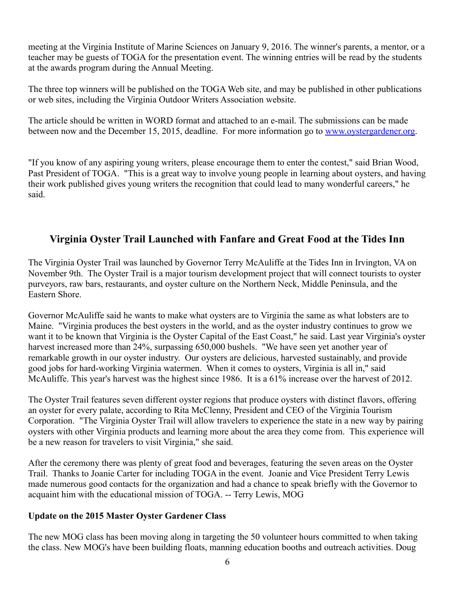meeting at the Virginia Institute of Marine Sciences on January 9, 2016. The winner's parents, a mentor, or a teacher may be guests of TOGA for the presentation event. The winning entries will be read by the students at the awards program during the Annual Meeting.

The three top winners will be published on the TOGA Web site, and may be published in other publications or web sites, including the Virginia Outdoor Writers Association website.

The article should be written in WORD format and attached to an e-mail. The submissions can be made between now and the December 15, 2015, deadline. For more information go to [www.oystergardener.org.](http://www.oystergardener.org/)

"If you know of any aspiring young writers, please encourage them to enter the contest," said Brian Wood, Past President of TOGA. "This is a great way to involve young people in learning about oysters, and having their work published gives young writers the recognition that could lead to many wonderful careers," he said.

# **Virginia Oyster Trail Launched with Fanfare and Great Food at the Tides Inn**

The Virginia Oyster Trail was launched by Governor Terry McAuliffe at the Tides Inn in Irvington, VA on November 9th. The Oyster Trail is a major tourism development project that will connect tourists to oyster purveyors, raw bars, restaurants, and oyster culture on the Northern Neck, Middle Peninsula, and the Eastern Shore.

Governor McAuliffe said he wants to make what oysters are to Virginia the same as what lobsters are to Maine. "Virginia produces the best oysters in the world, and as the oyster industry continues to grow we want it to be known that Virginia is the Oyster Capital of the East Coast," he said. Last year Virginia's oyster harvest increased more than 24%, surpassing 650,000 bushels. "We have seen yet another year of remarkable growth in our oyster industry. Our oysters are delicious, harvested sustainably, and provide good jobs for hard-working Virginia watermen. When it comes to oysters, Virginia is all in," said McAuliffe. This year's harvest was the highest since 1986. It is a 61% increase over the harvest of 2012.

The Oyster Trail features seven different oyster regions that produce oysters with distinct flavors, offering an oyster for every palate, according to Rita McClenny, President and CEO of the Virginia Tourism Corporation. "The Virginia Oyster Trail will allow travelers to experience the state in a new way by pairing oysters with other Virginia products and learning more about the area they come from. This experience will be a new reason for travelers to visit Virginia," she said.

After the ceremony there was plenty of great food and beverages, featuring the seven areas on the Oyster Trail. Thanks to Joanie Carter for including TOGA in the event. Joanie and Vice President Terry Lewis made numerous good contacts for the organization and had a chance to speak briefly with the Governor to acquaint him with the educational mission of TOGA. -- Terry Lewis, MOG

#### **Update on the 2015 Master Oyster Gardener Class**

The new MOG class has been moving along in targeting the 50 volunteer hours committed to when taking the class. New MOG's have been building floats, manning education booths and outreach activities. Doug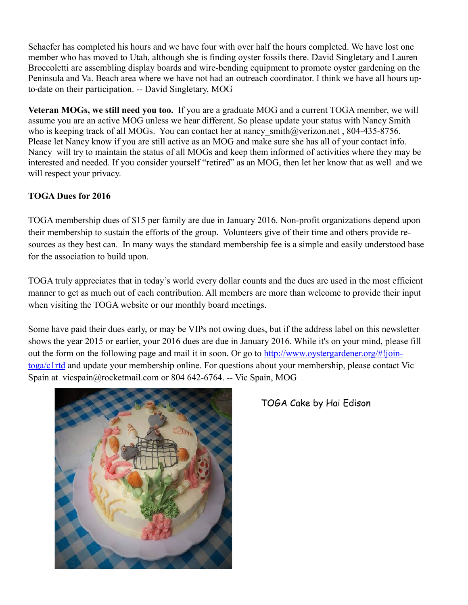Schaefer has completed his hours and we have four with over half the hours completed. We have lost one member who has moved to Utah, although she is finding oyster fossils there. David Singletary and Lauren Broccoletti are assembling display boards and wire-bending equipment to promote oyster gardening on the Peninsula and Va. Beach area where we have not had an outreach coordinator. I think we have all hours upto date on their participation. -- David Singletary, MOG ‐

**Veteran MOGs, we still need you too.** If you are a graduate MOG and a current TOGA member, we will assume you are an active MOG unless we hear different. So please update your status with Nancy Smith who is keeping track of all MOGs. You can contact her at nancy smith@verizon.net , 804-435-8756. Please let Nancy know if you are still active as an MOG and make sure she has all of your contact info. Nancy will try to maintain the status of all MOGs and keep them informed of activities where they may be interested and needed. If you consider yourself "retired" as an MOG, then let her know that as well and we will respect your privacy.

### **TOGA Dues for 2016**

TOGA membership dues of \$15 per family are due in January 2016. Non-profit organizations depend upon their membership to sustain the efforts of the group. Volunteers give of their time and others provide resources as they best can. In many ways the standard membership fee is a simple and easily understood base for the association to build upon.

TOGA truly appreciates that in today's world every dollar counts and the dues are used in the most efficient manner to get as much out of each contribution. All members are more than welcome to provide their input when visiting the TOGA website or our monthly board meetings.

Some have paid their dues early, or may be VIPs not owing dues, but if the address label on this newsletter shows the year 2015 or earlier, your 2016 dues are due in January 2016. While it's on your mind, please fill out the form on the following page and mail it in soon. Or go to [http://www.oystergardener.org/#!join](http://www.oystergardener.org/#!join-toga/c1rtd)[toga/c1rtd](http://www.oystergardener.org/#!join-toga/c1rtd) and update your membership online. For questions about your membership, please contact Vic Spain at vicspain@rocketmail.com or 804 642-6764. -- Vic Spain, MOG



## TOGA Cake by Hai Edison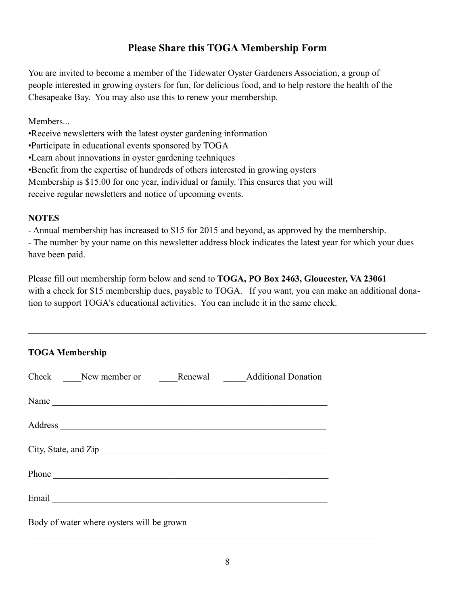# **Please Share this TOGA Membership Form**

You are invited to become a member of the Tidewater Oyster Gardeners Association, a group of people interested in growing oysters for fun, for delicious food, and to help restore the health of the Chesapeake Bay. You may also use this to renew your membership.

**Members** 

•Receive newsletters with the latest oyster gardening information

•Participate in educational events sponsored by TOGA

•Learn about innovations in oyster gardening techniques

•Benefit from the expertise of hundreds of others interested in growing oysters

Membership is \$15.00 for one year, individual or family. This ensures that you will

receive regular newsletters and notice of upcoming events.

#### **NOTES**

- Annual membership has increased to \$15 for 2015 and beyond, as approved by the membership.

- The number by your name on this newsletter address block indicates the latest year for which your dues have been paid.

Please fill out membership form below and send to **TOGA, PO Box 2463, Gloucester, VA 23061** with a check for \$15 membership dues, payable to TOGA. If you want, you can make an additional donation to support TOGA's educational activities. You can include it in the same check.

| <b>TOGA Membership</b>                          |
|-------------------------------------------------|
| Check New member or Renewal Additional Donation |
| Name                                            |
|                                                 |
| City, State, and Zip                            |
|                                                 |
|                                                 |
| Body of water where oysters will be grown       |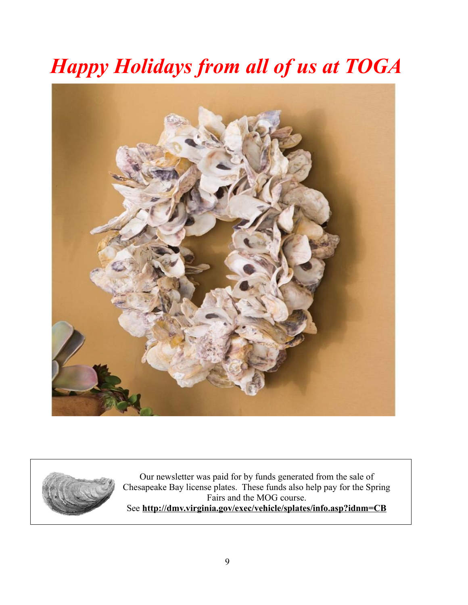# *Happy Holidays from all of us at TOGA*





Our newsletter was paid for by funds generated from the sale of Chesapeake Bay license plates. These funds also help pay for the Spring Fairs and the MOG course. See **http://dmv.virginia.gov/exec/vehicle/splates/info.asp?idnm=CB**